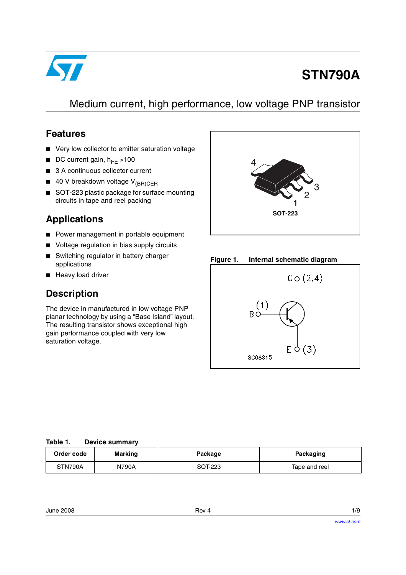

# **STN790A**

# Medium current, high performance, low voltage PNP transistor

## **Features**

- Very low collector to emitter saturation voltage
- **■** DC current gain,  $h_{FE} > 100$
- 3 A continuous collector current
- 40 V breakdown voltage V<sub>(BR)CER</sub>
- SOT-223 plastic package for surface mounting circuits in tape and reel packing

# **Applications**

- Power management in portable equipment
- Voltage regulation in bias supply circuits
- Switching regulator in battery charger applications
- Heavy load driver

# **Description**

The device in manufactured in low voltage PNP planar technology by using a "Base Island" layout. The resulting transistor shows exceptional high gain performance coupled with very low saturation voltage.



### **Figure 1. Internal schematic diagram**



#### **Table 1. Device summary**

| Order code | <b>Marking</b> | Package | Packaging     |
|------------|----------------|---------|---------------|
| STN790A    | N790A          | SOT-223 | Tape and reel |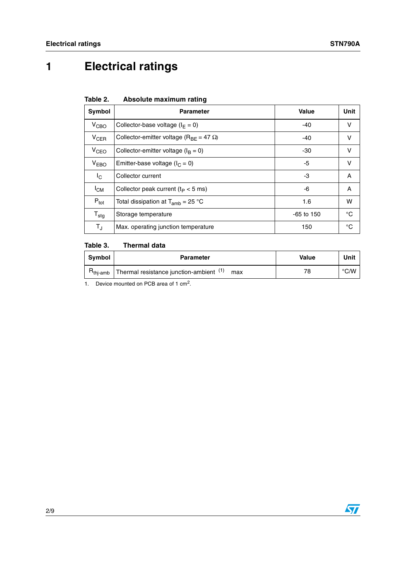# **1 Electrical ratings**

| Table 2. |  | Absolute maximum rating |  |
|----------|--|-------------------------|--|
|----------|--|-------------------------|--|

| Symbol                  | <b>Parameter</b>                                     | <b>Value</b> | Unit |
|-------------------------|------------------------------------------------------|--------------|------|
| V <sub>CBO</sub>        | Collector-base voltage ( $I_F = 0$ )                 | $-40$        | v    |
| $V_{CER}$               | Collector-emitter voltage ( $R_{BF}$ = 47 $\Omega$ ) | $-40$        | v    |
| V <sub>CEO</sub>        | Collector-emitter voltage ( $I_B = 0$ )              | -30          | v    |
| V <sub>EBO</sub>        | Emitter-base voltage ( $I_C = 0$ )                   | -5           | v    |
| $\mathsf{I}_\mathsf{C}$ | Collector current                                    | -3           | Α    |
| $I_{CM}$                | Collector peak current ( $tP < 5$ ms)                | -6           | A    |
| $P_{\text{tot}}$        | Total dissipation at $T_{amb}$ = 25 °C               | 1.6          | w    |
| $T_{\text{stg}}$        | Storage temperature                                  | $-65$ to 150 | °C   |
| $T_{\sf J}$             | Max. operating junction temperature                  | 150          | °C   |

#### Table 3. **Thermal data**

| Svmbol | <b>Parameter</b>                                            | Value | Unit |
|--------|-------------------------------------------------------------|-------|------|
|        | $Rthi-amb$ Thermal resistance junction-ambient $(1)$<br>max | 78    | °C/W |
| - -    | $- - -$                                                     |       |      |

1. Device mounted on PCB area of 1 cm<sup>2</sup>.

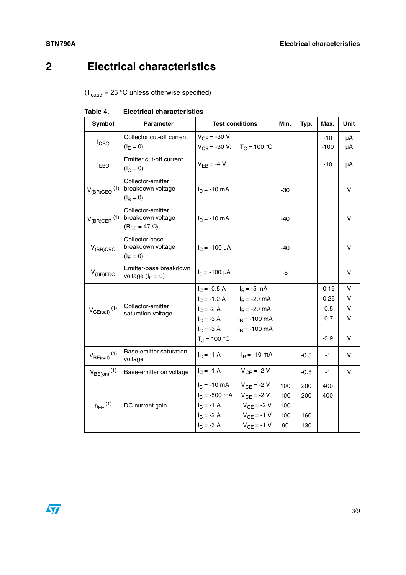# **2 Electrical characteristics**

 $(T_{\text{case}} = 25 \text{ °C}$  unless otherwise specified)

| Symbol                       | <b>Parameter</b>                                                 | <b>Test conditions</b>                             | Min.  | Typ.   | Max.          | <b>Unit</b> |
|------------------------------|------------------------------------------------------------------|----------------------------------------------------|-------|--------|---------------|-------------|
| $I_{CBO}$                    | Collector cut-off current<br>$(I_F = 0)$                         | $V_{CB} = -30 V$<br>$V_{CB} = -30 V; T_C = 100 °C$ |       |        | $-10$<br>-100 | μA<br>μA    |
| $I_{EBO}$                    | Emitter cut-off current<br>$(I_C = 0)$                           | $V_{FB} = -4 V$                                    |       |        | -10           | μA          |
| $V_{(BR)CEO}$ <sup>(1)</sup> | Collector-emitter<br>breakdown voltage<br>$(I_{\rm B} = 0)$      | $I_C = -10$ mA                                     | $-30$ |        |               | V           |
| $V_{(BR)CER}$ <sup>(1)</sup> | Collector-emitter<br>breakdown voltage<br>$(R_{BF} = 47 \Omega)$ | $I_C = -10$ mA                                     | $-40$ |        |               | v           |
| $V_{(BR)CBO}$                | Collector-base<br>breakdown voltage<br>$(I_E = 0)$               | $I_C = -100 \mu A$                                 | $-40$ |        |               | V           |
| $V_{(BR)EBO}$                | Emitter-base breakdown<br>voltage $(I_C = 0)$                    | $I_F = -100 \mu A$                                 | $-5$  |        |               | V           |
|                              | Collector-emitter<br>saturation voltage                          | $I_C = -0.5 A$ $I_B = -5 mA$                       |       |        | $-0.15$       | v           |
|                              |                                                                  | $I_C = -1.2 A$ $I_B = -20 mA$                      |       |        | $-0.25$       | v           |
| $V_{CE(sat)}$ <sup>(1)</sup> |                                                                  | $I_C = -2 A$ $I_B = -20 mA$                        |       |        | $-0.5$        | V           |
|                              |                                                                  | $I_C = -3 A$ $I_B = -100 mA$                       |       |        | $-0.7$        | V           |
|                              |                                                                  | $I_C = -3 A$ $I_B = -100 mA$                       |       |        |               |             |
|                              |                                                                  | $T_{\rm J}$ = 100 °C                               |       |        | $-0.9$        | $\vee$      |
| $V_{BE(sat)}$ <sup>(1)</sup> | Base-emitter saturation<br>voltage                               | $I_C = -1$ A<br>$I_B = -10$ mA                     |       | $-0.8$ | -1            | V           |
| $V_{BE(on)}$ <sup>(1)</sup>  | Base-emitter on voltage                                          | $I_C = -1$ A<br>$V_{CF} = -2 V$                    |       | $-0.8$ | $-1$          | v           |
|                              |                                                                  | $I_C$ = -10 mA $V_{CF}$ = -2 V                     | 100   | 200    | 400           |             |
|                              | DC current gain                                                  | $I_C$ = -500 mA $V_{CF}$ = -2 V                    | 100   | 200    | 400           |             |
| $h_{FE}$ <sup>(1)</sup>      |                                                                  | $V_{CF} = -1 \text{ A}$ $V_{CF} = -2 \text{ V}$    | 100   |        |               |             |
|                              |                                                                  | $I_C = -2 A$<br>$V_{CF} = -1 V$                    | 100   | 160    |               |             |
|                              |                                                                  | $V_{CF} = -1 V$<br>$I_C = -3 A$                    | 90    | 130    |               |             |

### **Table 4. Electrical characteristics**

 $\sqrt{2}$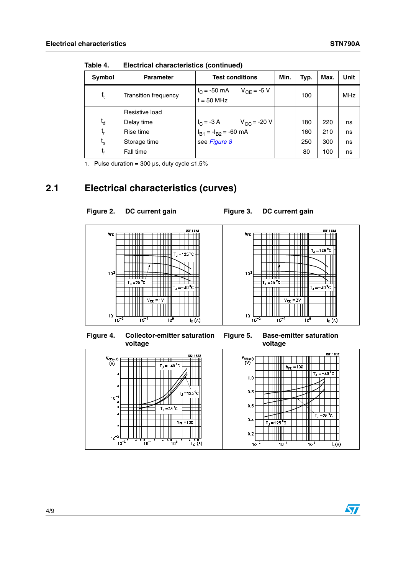| Symbol                      | <b>Parameter</b>            | <b>Test conditions</b>                                                                                              | Min. | Typ. | Max. | Unit       |
|-----------------------------|-----------------------------|---------------------------------------------------------------------------------------------------------------------|------|------|------|------------|
| f <sub>t</sub>              | <b>Transition frequency</b> | $I_C = -50$ mA<br>$V_{CF} = -5 V$<br>$f = 50$ MHz                                                                   |      | 100  |      | <b>MHz</b> |
|                             | Resistive load              |                                                                                                                     |      |      |      |            |
| $t_{d}$                     | Delay time                  |                                                                                                                     |      | 180  | 220  | ns         |
| t,                          | Rise time                   | $V_{\text{CC}} = -3 \text{ A}$ $V_{\text{CC}} = -20 \text{ V}$<br>$I_{\text{B1}} = -I_{\text{B2}} = -60 \text{ mA}$ |      | 160  | 210  | ns         |
| $\mathfrak{t}_{\mathsf{s}}$ | Storage time                | see Figure 8                                                                                                        |      | 250  | 300  | ns         |
| t <sub>f</sub>              | Fall time                   |                                                                                                                     |      | 80   | 100  | ns         |

**Table 4. Electrical characteristics (continued)**

1. Pulse duration = 300  $\mu$ s, duty cycle ≤1.5%

## **2.1 Electrical characteristics (curves)**



Figure 2. DC current gain **Figure 3. DC current gain** 





 $\overline{\mathbf{S}}$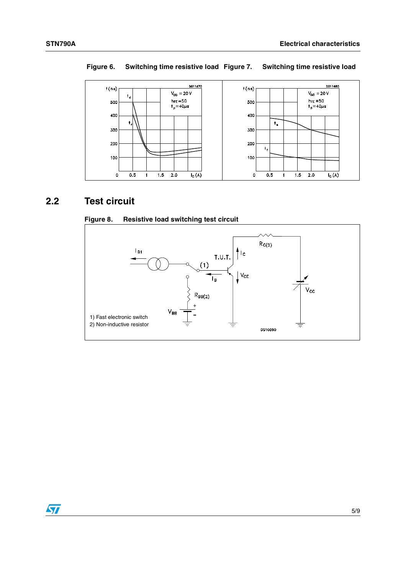

### **Figure 6. Switching time resistive load Figure 7. Switching time resistive load**

## **2.2 Test circuit**

<span id="page-4-0"></span>



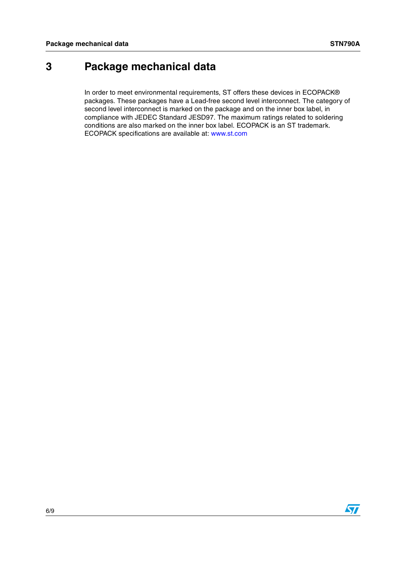# **3 Package mechanical data**

In order to meet environmental requirements, ST offers these devices in ECOPACK® packages. These packages have a Lead-free second level interconnect. The category of second level interconnect is marked on the package and on the inner box label, in compliance with JEDEC Standard JESD97. The maximum ratings related to soldering conditions are also marked on the inner box label. ECOPACK is an ST trademark. ECOPACK specifications are available at: www.st.com

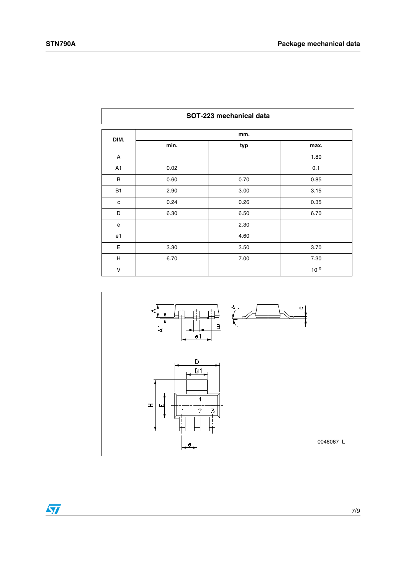| SOT-223 mechanical data |      |      |                 |  |  |  |
|-------------------------|------|------|-----------------|--|--|--|
| DIM.                    |      | mm.  |                 |  |  |  |
|                         | min. | typ  | max.            |  |  |  |
| A                       |      |      | 1.80            |  |  |  |
| A1                      | 0.02 |      | 0.1             |  |  |  |
| B                       | 0.60 | 0.70 | 0.85            |  |  |  |
| <b>B1</b>               | 2.90 | 3.00 | 3.15            |  |  |  |
| c                       | 0.24 | 0.26 | 0.35            |  |  |  |
| D                       | 6.30 | 6.50 | 6.70            |  |  |  |
| e                       |      | 2.30 |                 |  |  |  |
| e <sub>1</sub>          |      | 4.60 |                 |  |  |  |
| $\mathsf E$             | 3.30 | 3.50 | 3.70            |  |  |  |
| H                       | 6.70 | 7.00 | 7.30            |  |  |  |
| $\vee$                  |      |      | 10 <sup>o</sup> |  |  |  |



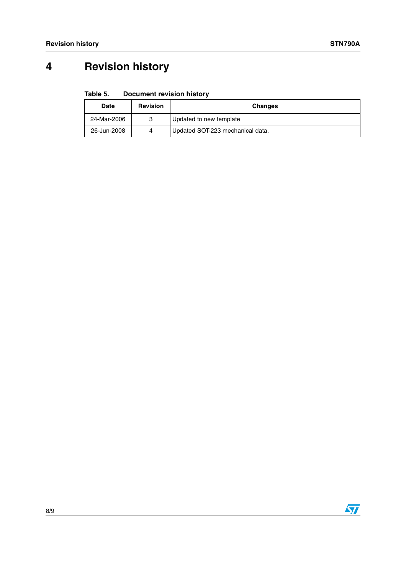# **4 Revision history**

#### Table 5. **Document revision history**

| <b>Date</b> | <b>Revision</b> | <b>Changes</b>                   |
|-------------|-----------------|----------------------------------|
| 24-Mar-2006 | З               | Updated to new template          |
| 26-Jun-2008 | Δ               | Updated SOT-223 mechanical data. |